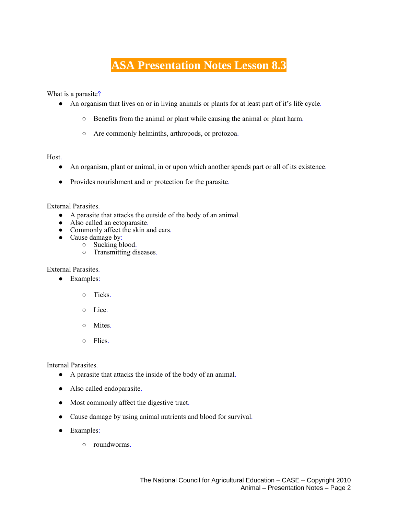## **ASA Presentation Notes Lesson 8.3**

What is a parasite?

- An organism that lives on or in living animals or plants for at least part of it's life cycle.
	- Benefits from the animal or plant while causing the animal or plant harm.
	- Are commonly helminths, arthropods, or protozoa.

## Host.

- An organism, plant or animal, in or upon which another spends part or all of its existence.
- Provides nourishment and or protection for the parasite.

## External Parasites.

- A parasite that attacks the outside of the body of an animal.
- Also called an ectoparasite.
- Commonly affect the skin and ears.
- Cause damage by:
	- Sucking blood.
		- Transmitting diseases.

External Parasites.

- Examples:
	- Ticks.
	- Lice.
	- Mites.
	- Flies.

Internal Parasites.

- A parasite that attacks the inside of the body of an animal.
- Also called endoparasite.
- Most commonly affect the digestive tract.
- Cause damage by using animal nutrients and blood for survival.
- Examples:
	- roundworms.